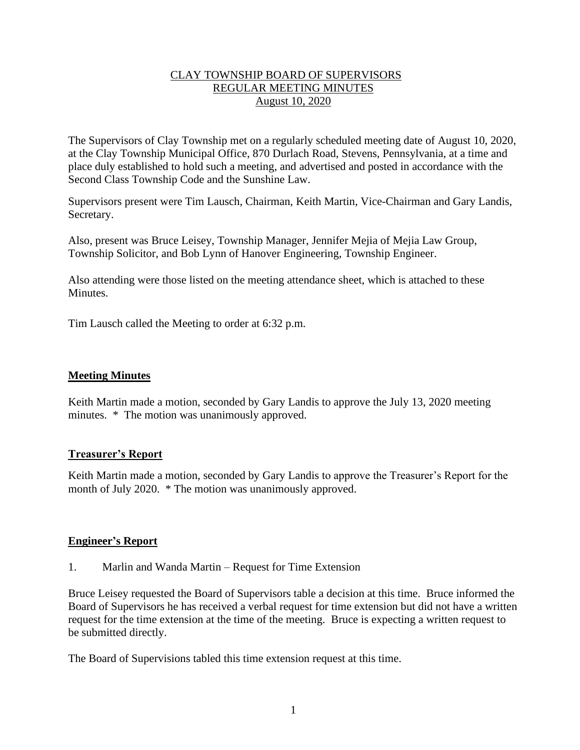# CLAY TOWNSHIP BOARD OF SUPERVISORS REGULAR MEETING MINUTES August 10, 2020

The Supervisors of Clay Township met on a regularly scheduled meeting date of August 10, 2020, at the Clay Township Municipal Office, 870 Durlach Road, Stevens, Pennsylvania, at a time and place duly established to hold such a meeting, and advertised and posted in accordance with the Second Class Township Code and the Sunshine Law.

Supervisors present were Tim Lausch, Chairman, Keith Martin, Vice-Chairman and Gary Landis, Secretary.

Also, present was Bruce Leisey, Township Manager, Jennifer Mejia of Mejia Law Group, Township Solicitor, and Bob Lynn of Hanover Engineering, Township Engineer.

Also attending were those listed on the meeting attendance sheet, which is attached to these Minutes.

Tim Lausch called the Meeting to order at 6:32 p.m.

### **Meeting Minutes**

Keith Martin made a motion, seconded by Gary Landis to approve the July 13, 2020 meeting minutes. \* The motion was unanimously approved.

### **Treasurer's Report**

Keith Martin made a motion, seconded by Gary Landis to approve the Treasurer's Report for the month of July 2020. \* The motion was unanimously approved.

### **Engineer's Report**

1. Marlin and Wanda Martin – Request for Time Extension

Bruce Leisey requested the Board of Supervisors table a decision at this time. Bruce informed the Board of Supervisors he has received a verbal request for time extension but did not have a written request for the time extension at the time of the meeting. Bruce is expecting a written request to be submitted directly.

The Board of Supervisions tabled this time extension request at this time.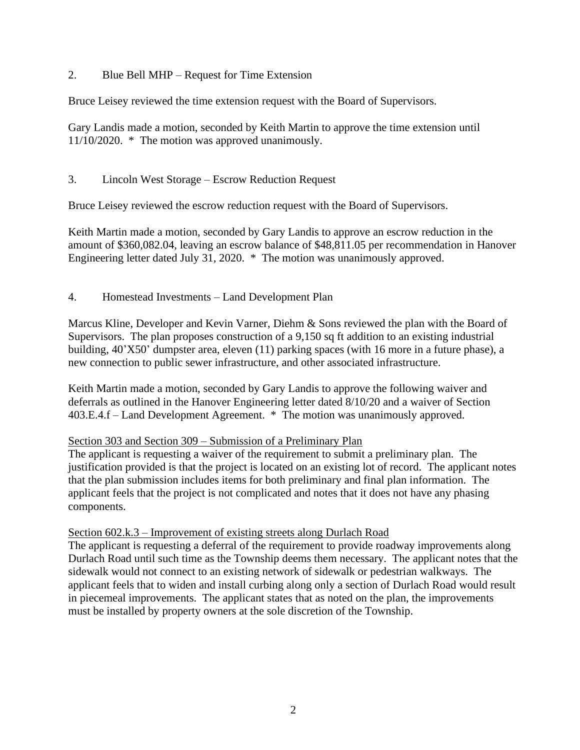# 2. Blue Bell MHP – Request for Time Extension

Bruce Leisey reviewed the time extension request with the Board of Supervisors.

Gary Landis made a motion, seconded by Keith Martin to approve the time extension until 11/10/2020. \* The motion was approved unanimously.

# 3. Lincoln West Storage – Escrow Reduction Request

Bruce Leisey reviewed the escrow reduction request with the Board of Supervisors.

Keith Martin made a motion, seconded by Gary Landis to approve an escrow reduction in the amount of \$360,082.04, leaving an escrow balance of \$48,811.05 per recommendation in Hanover Engineering letter dated July 31, 2020. \* The motion was unanimously approved.

4. Homestead Investments – Land Development Plan

Marcus Kline, Developer and Kevin Varner, Diehm & Sons reviewed the plan with the Board of Supervisors. The plan proposes construction of a 9,150 sq ft addition to an existing industrial building, 40'X50' dumpster area, eleven (11) parking spaces (with 16 more in a future phase), a new connection to public sewer infrastructure, and other associated infrastructure.

Keith Martin made a motion, seconded by Gary Landis to approve the following waiver and deferrals as outlined in the Hanover Engineering letter dated 8/10/20 and a waiver of Section 403.E.4.f – Land Development Agreement. \* The motion was unanimously approved.

# Section 303 and Section 309 – Submission of a Preliminary Plan

The applicant is requesting a waiver of the requirement to submit a preliminary plan. The justification provided is that the project is located on an existing lot of record. The applicant notes that the plan submission includes items for both preliminary and final plan information. The applicant feels that the project is not complicated and notes that it does not have any phasing components.

# Section 602.k.3 – Improvement of existing streets along Durlach Road

The applicant is requesting a deferral of the requirement to provide roadway improvements along Durlach Road until such time as the Township deems them necessary. The applicant notes that the sidewalk would not connect to an existing network of sidewalk or pedestrian walkways. The applicant feels that to widen and install curbing along only a section of Durlach Road would result in piecemeal improvements. The applicant states that as noted on the plan, the improvements must be installed by property owners at the sole discretion of the Township.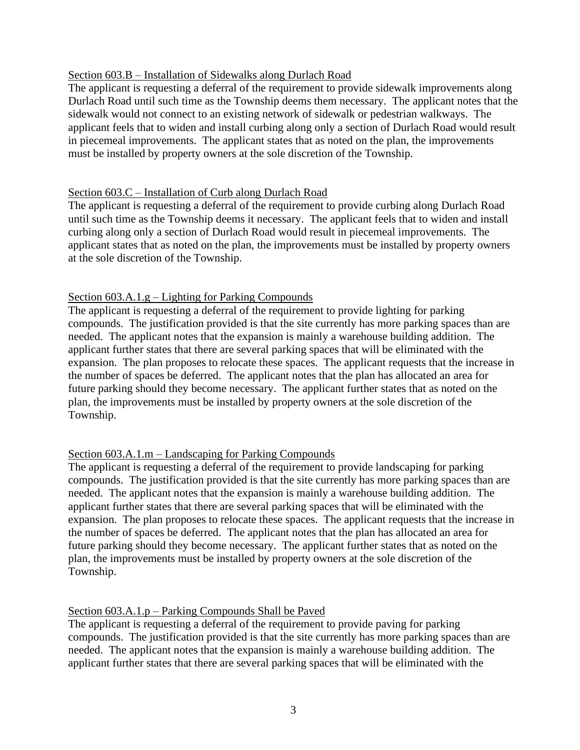## Section 603.B – Installation of Sidewalks along Durlach Road

The applicant is requesting a deferral of the requirement to provide sidewalk improvements along Durlach Road until such time as the Township deems them necessary. The applicant notes that the sidewalk would not connect to an existing network of sidewalk or pedestrian walkways. The applicant feels that to widen and install curbing along only a section of Durlach Road would result in piecemeal improvements. The applicant states that as noted on the plan, the improvements must be installed by property owners at the sole discretion of the Township.

### Section 603.C – Installation of Curb along Durlach Road

The applicant is requesting a deferral of the requirement to provide curbing along Durlach Road until such time as the Township deems it necessary. The applicant feels that to widen and install curbing along only a section of Durlach Road would result in piecemeal improvements. The applicant states that as noted on the plan, the improvements must be installed by property owners at the sole discretion of the Township.

## Section 603.A.1.g – Lighting for Parking Compounds

The applicant is requesting a deferral of the requirement to provide lighting for parking compounds. The justification provided is that the site currently has more parking spaces than are needed. The applicant notes that the expansion is mainly a warehouse building addition. The applicant further states that there are several parking spaces that will be eliminated with the expansion. The plan proposes to relocate these spaces. The applicant requests that the increase in the number of spaces be deferred. The applicant notes that the plan has allocated an area for future parking should they become necessary. The applicant further states that as noted on the plan, the improvements must be installed by property owners at the sole discretion of the Township.

# Section 603.A.1.m – Landscaping for Parking Compounds

The applicant is requesting a deferral of the requirement to provide landscaping for parking compounds. The justification provided is that the site currently has more parking spaces than are needed. The applicant notes that the expansion is mainly a warehouse building addition. The applicant further states that there are several parking spaces that will be eliminated with the expansion. The plan proposes to relocate these spaces. The applicant requests that the increase in the number of spaces be deferred. The applicant notes that the plan has allocated an area for future parking should they become necessary. The applicant further states that as noted on the plan, the improvements must be installed by property owners at the sole discretion of the Township.

# Section 603.A.1.p – Parking Compounds Shall be Paved

The applicant is requesting a deferral of the requirement to provide paving for parking compounds. The justification provided is that the site currently has more parking spaces than are needed. The applicant notes that the expansion is mainly a warehouse building addition. The applicant further states that there are several parking spaces that will be eliminated with the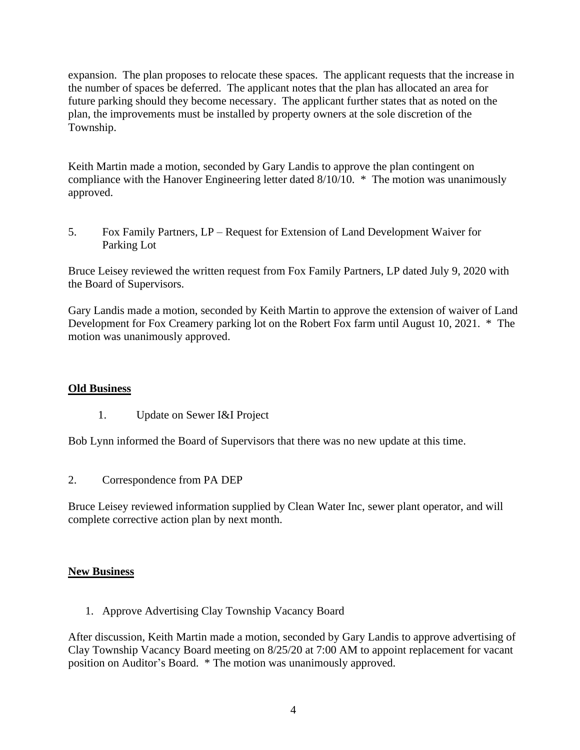expansion. The plan proposes to relocate these spaces. The applicant requests that the increase in the number of spaces be deferred. The applicant notes that the plan has allocated an area for future parking should they become necessary. The applicant further states that as noted on the plan, the improvements must be installed by property owners at the sole discretion of the Township.

Keith Martin made a motion, seconded by Gary Landis to approve the plan contingent on compliance with the Hanover Engineering letter dated 8/10/10. \* The motion was unanimously approved.

5. Fox Family Partners, LP – Request for Extension of Land Development Waiver for Parking Lot

Bruce Leisey reviewed the written request from Fox Family Partners, LP dated July 9, 2020 with the Board of Supervisors.

Gary Landis made a motion, seconded by Keith Martin to approve the extension of waiver of Land Development for Fox Creamery parking lot on the Robert Fox farm until August 10, 2021. \* The motion was unanimously approved.

# **Old Business**

1. Update on Sewer I&I Project

Bob Lynn informed the Board of Supervisors that there was no new update at this time.

2. Correspondence from PA DEP

Bruce Leisey reviewed information supplied by Clean Water Inc, sewer plant operator, and will complete corrective action plan by next month.

### **New Business**

1. Approve Advertising Clay Township Vacancy Board

After discussion, Keith Martin made a motion, seconded by Gary Landis to approve advertising of Clay Township Vacancy Board meeting on 8/25/20 at 7:00 AM to appoint replacement for vacant position on Auditor's Board. \* The motion was unanimously approved.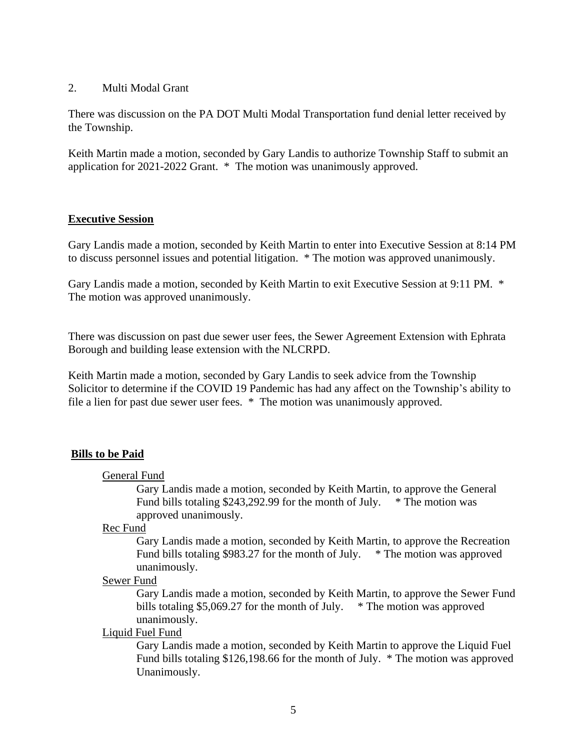#### 2. Multi Modal Grant

There was discussion on the PA DOT Multi Modal Transportation fund denial letter received by the Township.

Keith Martin made a motion, seconded by Gary Landis to authorize Township Staff to submit an application for 2021-2022 Grant. \* The motion was unanimously approved.

### **Executive Session**

Gary Landis made a motion, seconded by Keith Martin to enter into Executive Session at 8:14 PM to discuss personnel issues and potential litigation. \* The motion was approved unanimously.

Gary Landis made a motion, seconded by Keith Martin to exit Executive Session at 9:11 PM. \* The motion was approved unanimously.

There was discussion on past due sewer user fees, the Sewer Agreement Extension with Ephrata Borough and building lease extension with the NLCRPD.

Keith Martin made a motion, seconded by Gary Landis to seek advice from the Township Solicitor to determine if the COVID 19 Pandemic has had any affect on the Township's ability to file a lien for past due sewer user fees. \* The motion was unanimously approved.

### **Bills to be Paid**

#### General Fund

Gary Landis made a motion, seconded by Keith Martin, to approve the General Fund bills totaling \$243,292.99 for the month of July.  $*$  The motion was approved unanimously.

Rec Fund

Gary Landis made a motion, seconded by Keith Martin, to approve the Recreation Fund bills totaling \$983.27 for the month of July. \* The motion was approved unanimously.

#### Sewer Fund

Gary Landis made a motion, seconded by Keith Martin, to approve the Sewer Fund bills totaling \$5,069.27 for the month of July.  $*$  The motion was approved unanimously.

#### Liquid Fuel Fund

Gary Landis made a motion, seconded by Keith Martin to approve the Liquid Fuel Fund bills totaling \$126,198.66 for the month of July. \* The motion was approved Unanimously.